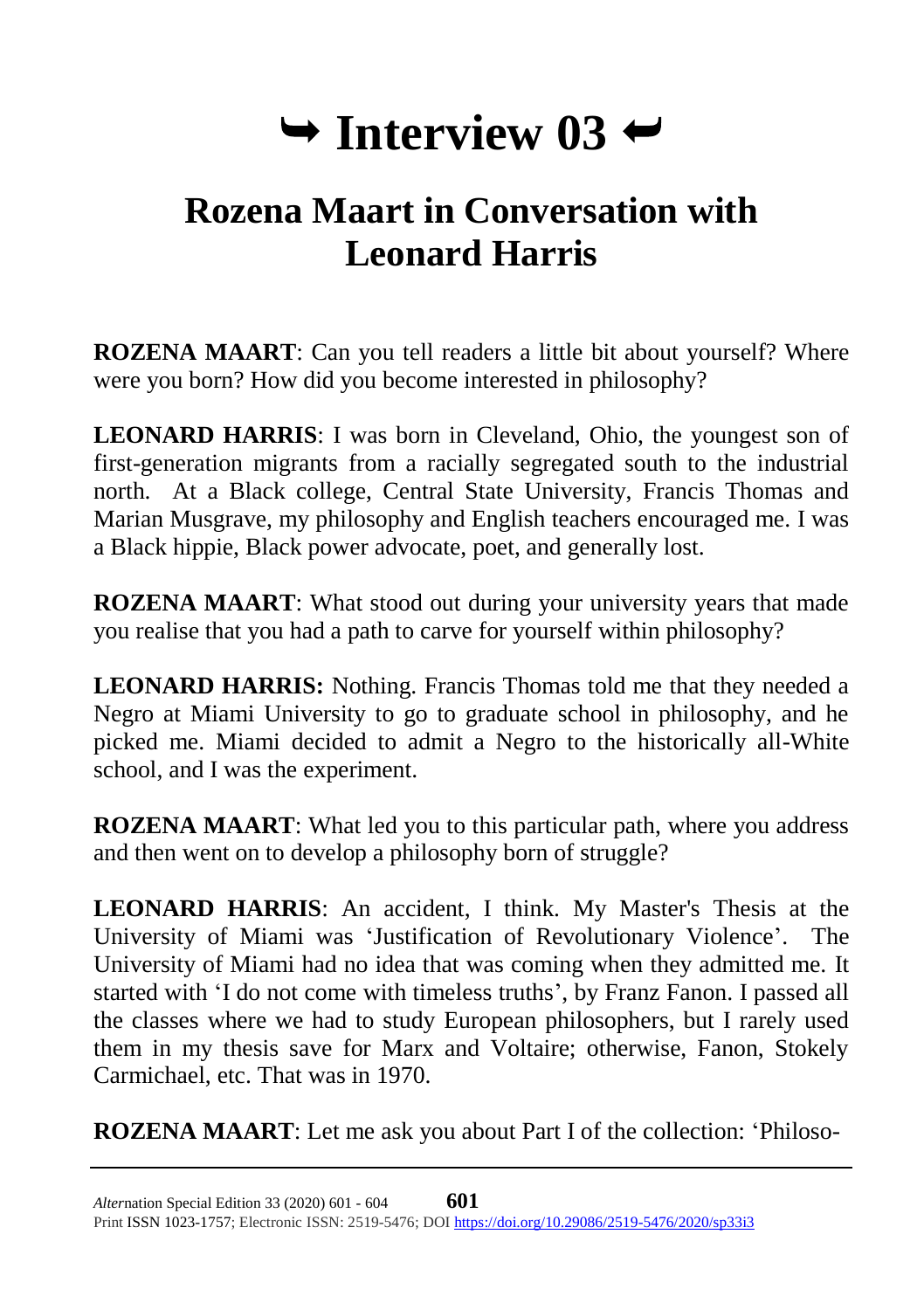## $\rightarrow$  Interview 03  $\rightarrow$

## **Rozena Maart in Conversation with Leonard Harris**

**ROZENA MAART**: Can you tell readers a little bit about yourself? Where were you born? How did you become interested in philosophy?

**LEONARD HARRIS**: I was born in Cleveland, Ohio, the youngest son of first-generation migrants from a racially segregated south to the industrial north. At a Black college, Central State University, Francis Thomas and Marian Musgrave, my philosophy and English teachers encouraged me. I was a Black hippie, Black power advocate, poet, and generally lost.

**ROZENA MAART**: What stood out during your university years that made you realise that you had a path to carve for yourself within philosophy?

**LEONARD HARRIS:** Nothing. Francis Thomas told me that they needed a Negro at Miami University to go to graduate school in philosophy, and he picked me. Miami decided to admit a Negro to the historically all-White school, and I was the experiment.

**ROZENA MAART**: What led you to this particular path, where you address and then went on to develop a philosophy born of struggle?

**LEONARD HARRIS**: An accident, I think. My Master's Thesis at the University of Miami was 'Justification of Revolutionary Violence'. The University of Miami had no idea that was coming when they admitted me. It started with 'I do not come with timeless truths', by Franz Fanon. I passed all the classes where we had to study European philosophers, but I rarely used them in my thesis save for Marx and Voltaire; otherwise, Fanon, Stokely Carmichael, etc. That was in 1970.

**ROZENA MAART**: Let me ask you about Part I of the collection: 'Philoso-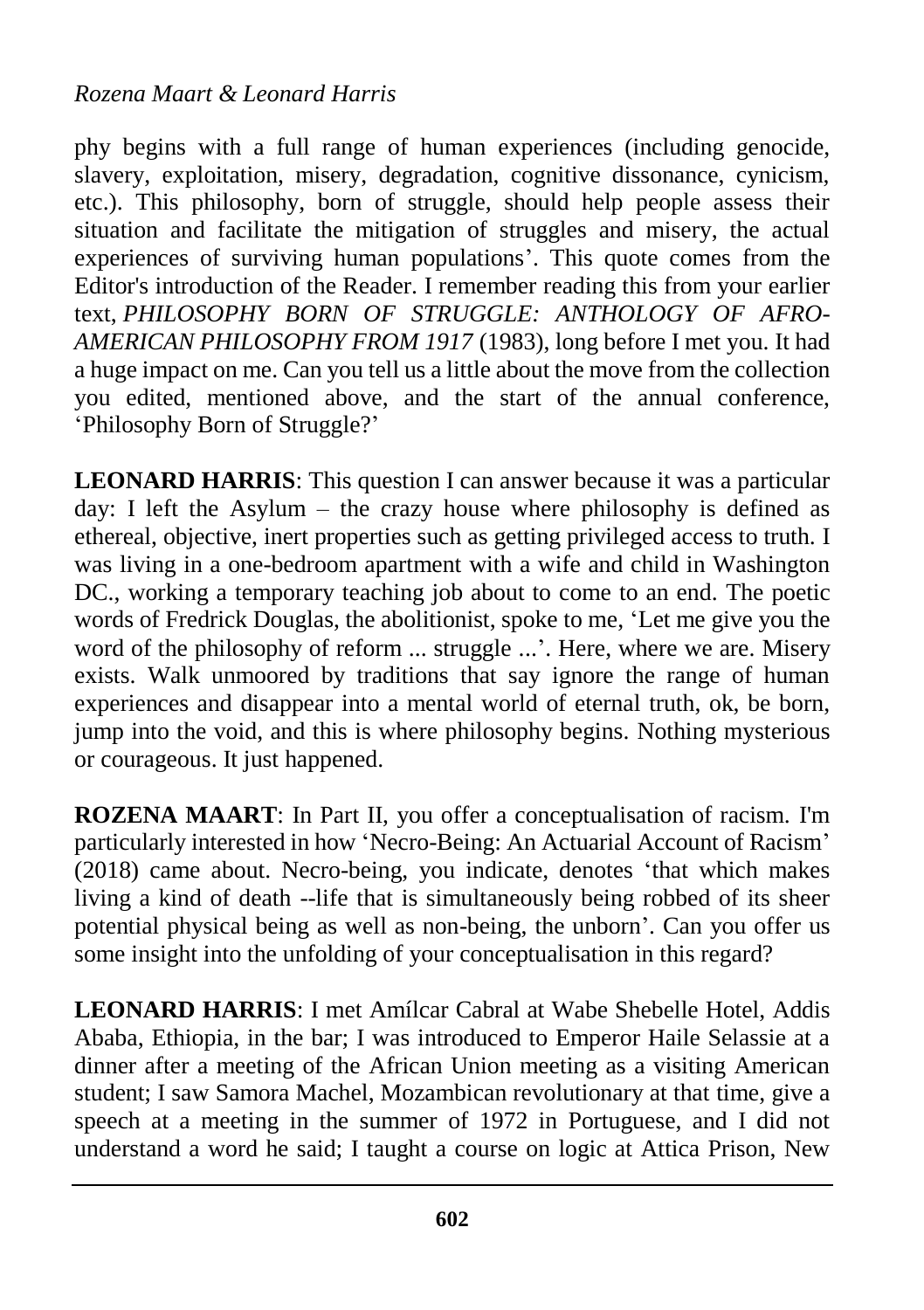## *Rozena Maart & Leonard Harris*

phy begins with a full range of human experiences (including genocide, slavery, exploitation, misery, degradation, cognitive dissonance, cynicism, etc.). This philosophy, born of struggle, should help people assess their situation and facilitate the mitigation of struggles and misery, the actual experiences of surviving human populations'. This quote comes from the Editor's introduction of the Reader. I remember reading this from your earlier text, *PHILOSOPHY BORN OF STRUGGLE: ANTHOLOGY OF AFRO-AMERICAN PHILOSOPHY FROM 1917* (1983), long before I met you. It had a huge impact on me. Can you tell us a little about the move from the collection you edited, mentioned above, and the start of the annual conference, 'Philosophy Born of Struggle?'

**LEONARD HARRIS**: This question I can answer because it was a particular day: I left the Asylum – the crazy house where philosophy is defined as ethereal, objective, inert properties such as getting privileged access to truth. I was living in a one-bedroom apartment with a wife and child in Washington DC., working a temporary teaching job about to come to an end. The poetic words of Fredrick Douglas, the abolitionist, spoke to me, 'Let me give you the word of the philosophy of reform ... struggle ...'. Here, where we are. Misery exists. Walk unmoored by traditions that say ignore the range of human experiences and disappear into a mental world of eternal truth, ok, be born, jump into the void, and this is where philosophy begins. Nothing mysterious or courageous. It just happened.

**ROZENA MAART**: In Part II, you offer a conceptualisation of racism. I'm particularly interested in how 'Necro-Being: An Actuarial Account of Racism' (2018) came about. Necro-being, you indicate, denotes 'that which makes living a kind of death --life that is simultaneously being robbed of its sheer potential physical being as well as non-being, the unborn'. Can you offer us some insight into the unfolding of your conceptualisation in this regard?

**LEONARD HARRIS**: I met Amílcar Cabral at Wabe Shebelle Hotel, Addis Ababa, Ethiopia, in the bar; I was introduced to Emperor Haile Selassie at a dinner after a meeting of the African Union meeting as a visiting American student; I saw Samora Machel, Mozambican revolutionary at that time, give a speech at a meeting in the summer of 1972 in Portuguese, and I did not understand a word he said; I taught a course on logic at Attica Prison, New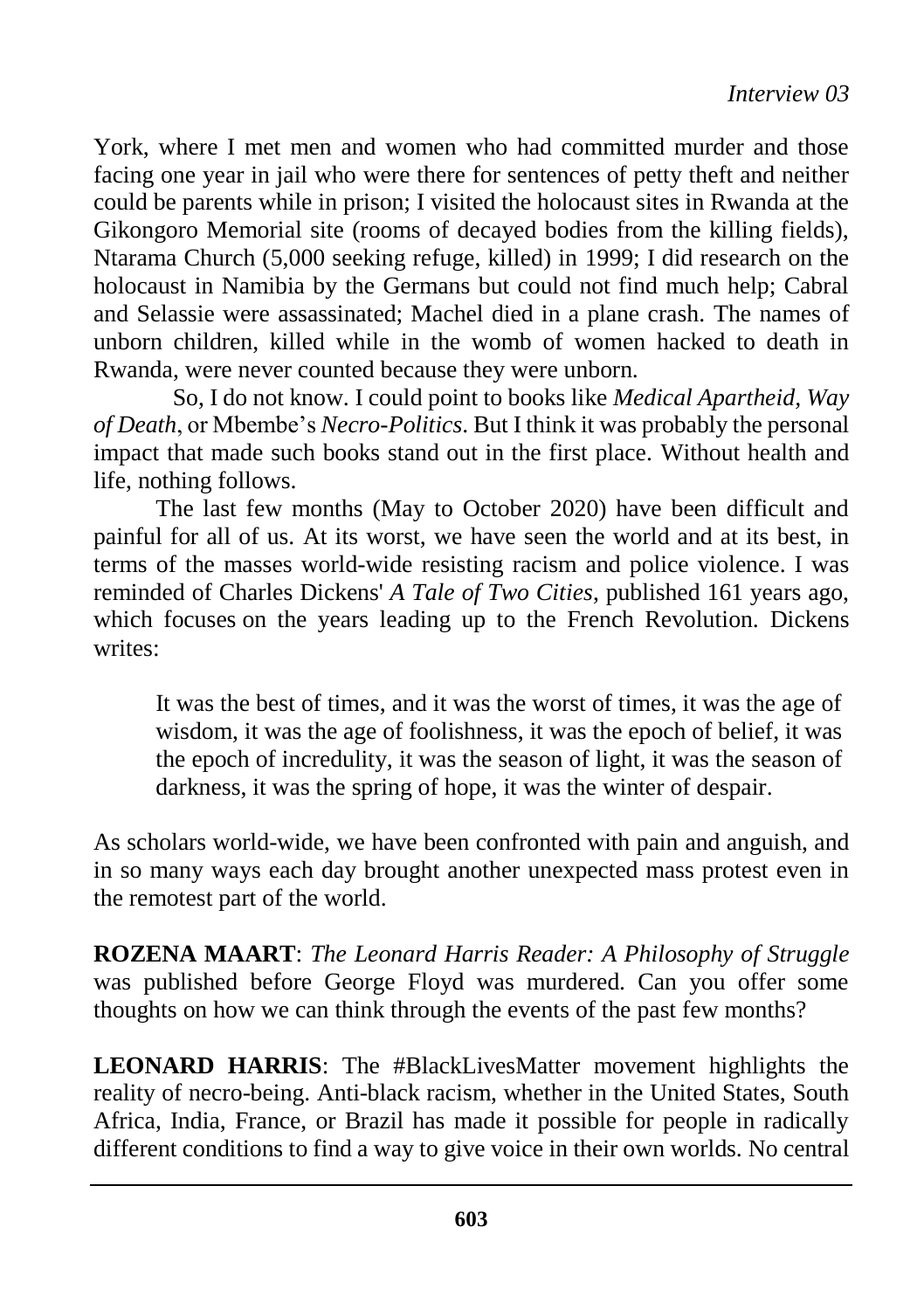York, where I met men and women who had committed murder and those facing one year in jail who were there for sentences of petty theft and neither could be parents while in prison; I visited the holocaust sites in Rwanda at the Gikongoro Memorial site (rooms of decayed bodies from the killing fields), Ntarama Church (5,000 seeking refuge, killed) in 1999; I did research on the holocaust in Namibia by the Germans but could not find much help; Cabral and Selassie were assassinated; Machel died in a plane crash. The names of unborn children, killed while in the womb of women hacked to death in Rwanda, were never counted because they were unborn.

So, I do not know. I could point to books like *Medical Apartheid, Way of Death*, or Mbembe's *Necro-Politics*. But I think it was probably the personal impact that made such books stand out in the first place. Without health and life, nothing follows.

The last few months (May to October 2020) have been difficult and painful for all of us. At its worst, we have seen the world and at its best, in terms of the masses world-wide resisting racism and police violence. I was reminded of Charles Dickens' *A Tale of Two Cities*, published 161 years ago, which focuses on the years leading up to the French Revolution. Dickens writes:

It was the best of times, and it was the worst of times, it was the age of wisdom, it was the age of foolishness, it was the epoch of belief, it was the epoch of incredulity, it was the season of light, it was the season of darkness, it was the spring of hope, it was the winter of despair.

As scholars world-wide, we have been confronted with pain and anguish, and in so many ways each day brought another unexpected mass protest even in the remotest part of the world.

**ROZENA MAART**: *The Leonard Harris Reader: A Philosophy of Struggle* was published before George Floyd was murdered. Can you offer some thoughts on how we can think through the events of the past few months?

**LEONARD HARRIS**: The #BlackLivesMatter movement highlights the reality of necro-being. Anti-black racism, whether in the United States, South Africa, India, France, or Brazil has made it possible for people in radically different conditions to find a way to give voice in their own worlds. No central